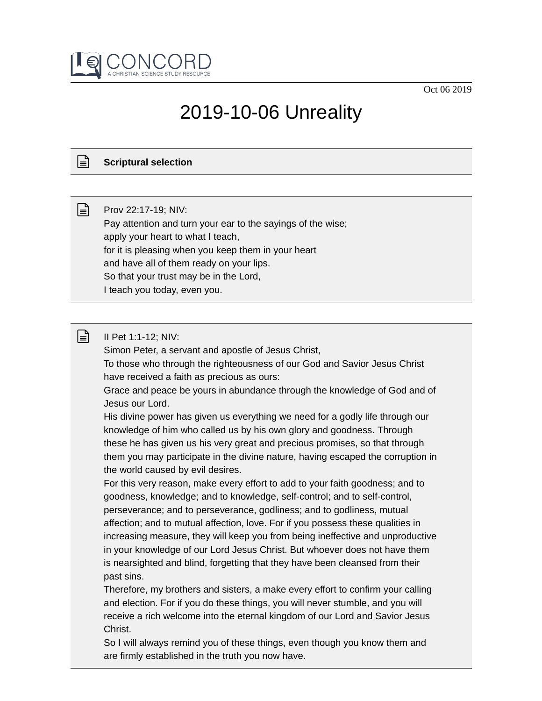Oct 06 2019



# 2019-10-06 Unreality

## **Scriptural selection**

ן≡ן

 $\mathbb{R}$ 

Prov 22:17-19; NIV: Pay attention and turn your ear to the sayings of the wise; apply your heart to what I teach, for it is pleasing when you keep them in your heart and have all of them ready on your lips. So that your trust may be in the Lord, I teach you today, even you.

### II Pet 1:1-12; NIV:

Simon Peter, a servant and apostle of Jesus Christ,

To those who through the righteousness of our God and Savior Jesus Christ have received a faith as precious as ours:

Grace and peace be yours in abundance through the knowledge of God and of Jesus our Lord.

His divine power has given us everything we need for a godly life through our knowledge of him who called us by his own glory and goodness. Through these he has given us his very great and precious promises, so that through them you may participate in the divine nature, having escaped the corruption in the world caused by evil desires.

For this very reason, make every effort to add to your faith goodness; and to goodness, knowledge; and to knowledge, self-control; and to self-control, perseverance; and to perseverance, godliness; and to godliness, mutual affection; and to mutual affection, love. For if you possess these qualities in increasing measure, they will keep you from being ineffective and unproductive in your knowledge of our Lord Jesus Christ. But whoever does not have them is nearsighted and blind, forgetting that they have been cleansed from their past sins.

Therefore, my brothers and sisters, a make every effort to confirm your calling and election. For if you do these things, you will never stumble, and you will receive a rich welcome into the eternal kingdom of our Lord and Savior Jesus Christ.

So I will always remind you of these things, even though you know them and are firmly established in the truth you now have.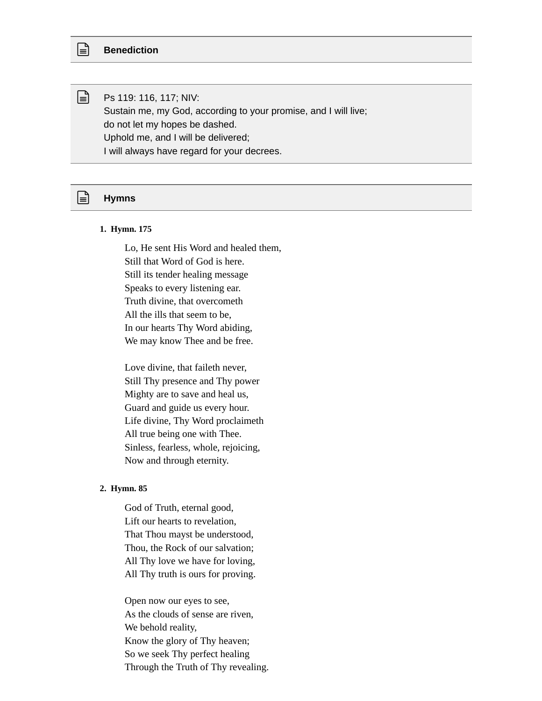Ps 119: 116, 117; NIV: Sustain me, my God, according to your promise, and I will live; do not let my hopes be dashed. Uphold me, and I will be delivered; I will always have regard for your decrees.

#### **Hymns**

#### **1. Hymn. 175**

Lo, He sent His Word and healed them, Still that Word of God is here. Still its tender healing message Speaks to every listening ear. Truth divine, that overcometh All the ills that seem to be, In our hearts Thy Word abiding, We may know Thee and be free.

Love divine, that faileth never, Still Thy presence and Thy power Mighty are to save and heal us, Guard and guide us every hour. Life divine, Thy Word proclaimeth All true being one with Thee. Sinless, fearless, whole, rejoicing, Now and through eternity.

#### **2. Hymn. 85**

God of Truth, eternal good, Lift our hearts to revelation, That Thou mayst be understood, Thou, the Rock of our salvation; All Thy love we have for loving, All Thy truth is ours for proving.

Open now our eyes to see, As the clouds of sense are riven, We behold reality, Know the glory of Thy heaven; So we seek Thy perfect healing Through the Truth of Thy revealing.



ि।